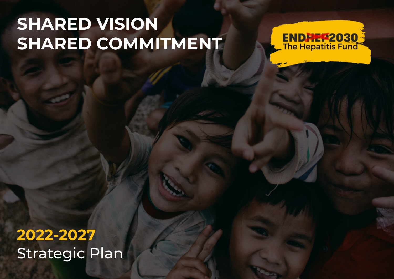# **SHARED VISION SHARED COMMITMENT**



Strategic Plan **2022-2027**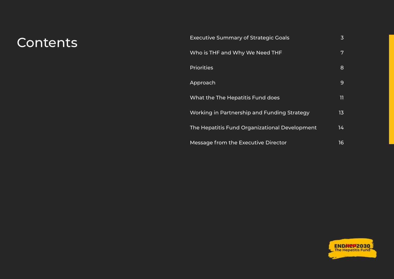## Contents

| <b>Executive Summary of Strategic Goals</b>   | 3  |
|-----------------------------------------------|----|
| Who is THF and Why We Need THF                | 7  |
| <b>Priorities</b>                             | 8  |
| Approach                                      | 9  |
| What the The Hepatitis Fund does              | 11 |
| Working in Partnership and Funding Strategy   | 13 |
| The Hepatitis Fund Organizational Development | 14 |
| Message from the Executive Director           | 16 |

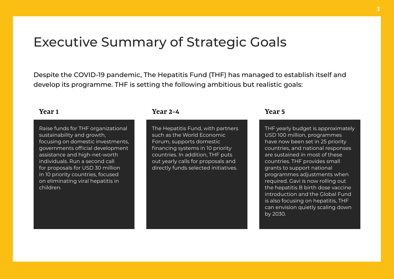### <span id="page-2-0"></span>Executive Summary of Strategic Goals

Despite the COVID-19 pandemic, The Hepatitis Fund (THF) has managed to establish itself and develop its programme. THF is setting the following ambitious but realistic goals:

Raise funds for THF organizational sustainability and growth. focusing on domestic investments, governments official development assistance and high-net-worth individuals. Run a second call for proposals for USD 30 million in 10 priority countries, focused on eliminating viral hepatitis in children.

### **Year 1 Year 2-4 Year 5**

The Hepatitis Fund, with partners such as the World Economic Forum, supports domestic financing systems in 10 priority countries. In addition, THF puts out yearly calls for proposals and directly funds selected initiatives.

THF yearly budget is approximately USD 100 million, programmes have now been set in 25 priority countries, and national responses are sustained in most of these countries. THF provides small grants to support national programmes adjustments when required. Gavi is now rolling out the hepatitis B birth dose vaccine introduction and the Global Fund is also focusing on hepatitis, THF can envision quietly scaling down by 2030.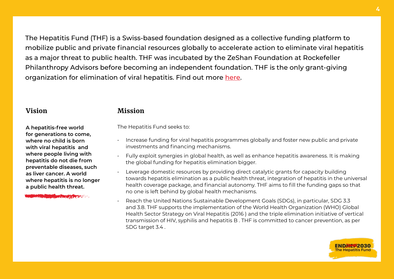The Hepatitis Fund (THF) is a Swiss-based foundation designed as a collective funding platform to mobilize public and private financial resources globally to accelerate action to eliminate viral hepatitis as a major threat to public health. THF was incubated by the ZeShan Foundation at Rockefeller Philanthropy Advisors before becoming an independent foundation. THF is the only grant-giving organization for elimination of viral hepatitis. Find out more [here](https://endhep2030.org/wp-content/uploads/2021/10/FINAL-14-Oct-for-web.pdf).

**A hepatitis-free world for generations to come, where no child is born with viral hepatitis and where people living with hepatitis do not die from preventable diseases, such as liver cancer. A world where hepatitis is no longer a public health threat.** 

**MARINE AND STREET AND RESIDENCE** 

#### **Vision Mission**

The Hepatitis Fund seeks to:

- Increase funding for viral hepatitis programmes globally and foster new public and private investments and financing mechanisms.
- Fully exploit synergies in global health, as well as enhance hepatitis awareness. It is making the global funding for hepatitis elimination bigger.
- Leverage domestic resources by providing direct catalytic grants for capacity building towards hepatitis elimination as a public health threat, integration of hepatitis in the universal health coverage package, and financial autonomy. THF aims to fill the funding gaps so that no one is left behind by global health mechanisms.
- Reach the United Nations Sustainable Development Goals (SDGs), in particular, SDG 3.3 and 3.8. THF supports the implementation of the World Health Organization (WHO) Global Health Sector Strategy on Viral Hepatitis (2016 ) and the triple elimination initiative of vertical transmission of HIV, syphilis and hepatitis B . THF is committed to cancer prevention, as per SDG target 3.4 .



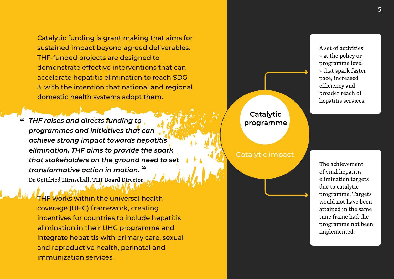Catalytic funding is grant making that aims for sustained impact beyond agreed deliverables. THF-funded projects are designed to demonstrate effective interventions that can accelerate hepatitis elimination to reach SDG 3, with the intention that national and regional domestic health systems adopt them.

*THF raises and directs funding to*   **"** *programmes and initiatives that can achieve strong impact towards hepatitis elimination. THF aims to provide the spark that stakeholders on the ground need to set transformative action in motion.*   **"** Dr Gottfried Hirnschall, THF Board Director

Works within the universal health coverage (UHC) framework, creating incentives for countries to include hepatitis elimination in their UHC programme and integrate hepatitis with primary care, sexual and reproductive health, perinatal and immunization services.



#### Catalytic impact

A set of activities - at the policy or programme level - that spark faster pace, increased efficiency and broader reach of hepatitis services.

The achievement of viral hepatitis elimination targets due to catalytic programme. Targets would not have been attained in the same time frame had the programme not been implemented.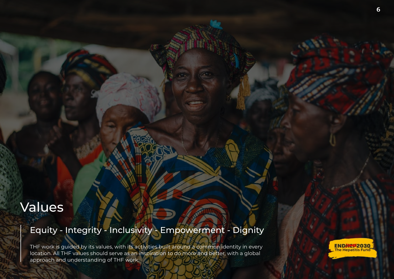## Values

### Equity - Integrity - Inclusivity - Empowerment - Dignity

THF work is guided by its values, with its activities built around a common identity in every location. All THF values should serve as an inspiration to do more and better, with a global approach and understanding of THF work.

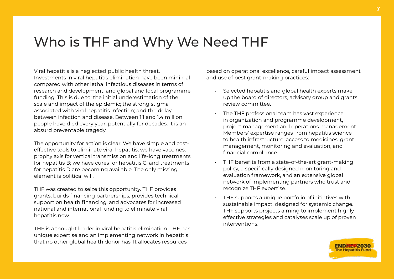### <span id="page-6-0"></span>Who is THF and Why We Need THF

Viral hepatitis is a neglected public health threat. Investments in viral hepatitis elimination have been minimal compared with other lethal infectious diseases in terms of research and development, and global and local programme funding. This is due to: the initial underestimation of the scale and impact of the epidemic; the strong stigma associated with viral hepatitis infection; and the delay between infection and disease. Between 1.1 and 1.4 million people have died every year, potentially for decades. It is an absurd preventable tragedy.

The opportunity for action is clear. We have simple and costeffective tools to eliminate viral hepatitis; we have vaccines, prophylaxis for vertical transmission and life-long treatments for hepatitis B; we have cures for hepatitis C, and treatments for hepatitis D are becoming available. The only missing element is political will.

THF was created to seize this opportunity. THF provides grants, builds financing partnerships, provides technical support on health financing, and advocates for increased national and international funding to eliminate viral hepatitis now.

THF is a thought leader in viral hepatitis elimination. THF has unique expertise and an implementing network in hepatitis that no other global health donor has. It allocates resources

based on operational excellence, careful impact assessment and use of best grant-making practices:

- Selected hepatitis and global health experts make up the board of directors, advisory group and grants review committee.
- The THF professional team has vast experience in organization and programme development, project management and operations management. Members' expertise ranges from hepatitis science to health infrastructure, access to medicines, grant management, monitoring and evaluation, and financial compliance.
- THF benefits from a state-of-the-art grant-making policy, a specifically designed monitoring and evaluation framework, and an extensive global network of implementing partners who trust and recognize THF expertise.
- THF supports a unique portfolio of initiatives with sustainable impact, designed for systemic change. THF supports projects aiming to implement highly effective strategies and catalyses scale up of proven interventions.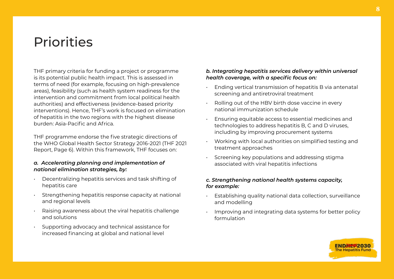## <span id="page-7-0"></span>**Priorities**

THF primary criteria for funding a project or programme is its potential public health impact. This is assessed in terms of need (for example, focusing on high-prevalence areas), feasibility (such as health system readiness for the intervention and commitment from local political health authorities) and effectiveness (evidence-based priority interventions). Hence, THF's work is focused on elimination of hepatitis in the two regions with the highest disease burden: Asia-Pacific and Africa.

THF programme endorse the five strategic directions of the WHO Global Health Sector Strategy 2016-2021 (THF 2021 Report, Page 6). Within this framework, THF focuses on:

#### *a. Accelerating planning and implementation of national elimination strategies, by:*

- Decentralizing hepatitis services and task shifting of hepatitis care
- Strengthening hepatitis response capacity at national and regional levels
- Raising awareness about the viral hepatitis challenge and solutions
- Supporting advocacy and technical assistance for increased financing at global and national level

#### *b. Integrating hepatitis services delivery within universal health coverage, with a specific focus on:*

- Ending vertical transmission of hepatitis B via antenatal screening and antiretroviral treatment
- Rolling out of the HBV birth dose vaccine in every national immunization schedule
- Ensuring equitable access to essential medicines and technologies to address hepatitis B, C and D viruses, including by improving procurement systems
- Working with local authorities on simplified testing and treatment approaches
- Screening key populations and addressing stigma associated with viral hepatitis infections

#### *c. Strengthening national health systems capacity, for example:*

- Establishing quality national data collection, surveillance and modelling
- Improving and integrating data systems for better policy formulation

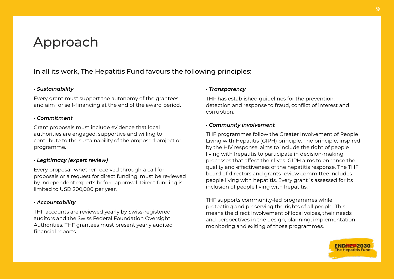### <span id="page-8-0"></span>Approach

### In all its work, The Hepatitis Fund favours the following principles:

#### *• Sustainability*

Every grant must support the autonomy of the grantees and aim for self-financing at the end of the award period.

#### *• Commitment*

Grant proposals must include evidence that local authorities are engaged, supportive and willing to contribute to the sustainability of the proposed project or programme.

#### *• Legitimacy (expert review)*

Every proposal, whether received through a call for proposals or a request for direct funding, must be reviewed by independent experts before approval. Direct funding is limited to USD 200,000 per year.

#### *• Accountability*

THF accounts are reviewed yearly by Swiss-registered auditors and the Swiss Federal Foundation Oversight Authorities. THF grantees must present yearly audited financial reports.

#### *• Transparency*

THF has established guidelines for the prevention, detection and response to fraud, conflict of interest and corruption.

#### *• Community involvement*

THF programmes follow the Greater Involvement of People Living with Hepatitis (GIPH) principle. The principle, inspired by the HIV response, aims to include the right of people living with hepatitis to participate in decision-making processes that affect their lives. GIPH aims to enhance the quality and effectiveness of the hepatitis response. The THF board of directors and grants review committee includes people living with hepatitis. Every grant is assessed for its inclusion of people living with hepatitis.

THF supports community-led programmes while protecting and preserving the rights of all people. This means the direct involvement of local voices, their needs and perspectives in the design, planning, implementation, monitoring and exiting of those programmes.

22030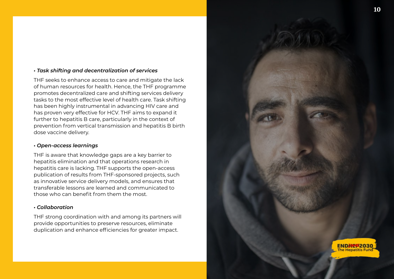#### *• Task shifting and decentralization of services*

THF seeks to enhance access to care and mitigate the lack of human resources for health. Hence, the THF programme promotes decentralized care and shifting services delivery tasks to the most effective level of health care. Task shifting has been highly instrumental in advancing HIV care and has proven very effective for HCV. THF aims to expand it further to hepatitis B care, particularly in the context of prevention from vertical transmission and hepatitis B birth dose vaccine delivery.

#### *• Open-access learnings*

THF is aware that knowledge gaps are a key barrier to hepatitis elimination and that operations research in hepatitis care is lacking. THF supports the open-access publication of results from THF-sponsored projects, such as innovative service delivery models, and ensures that transferable lessons are learned and communicated to those who can benefit from them the most.

#### *• Collaboration*

THF strong coordination with and among its partners will provide opportunities to preserve resources, eliminate duplication and enhance efficiencies for greater impact.

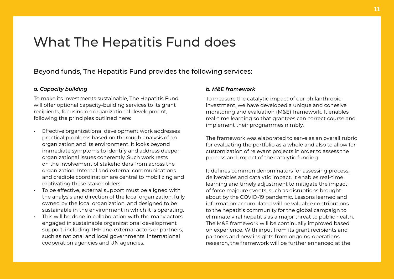### <span id="page-10-0"></span>What The Hepatitis Fund does

### Beyond funds, The Hepatitis Fund provides the following services:

#### *a. Capacity building*

To make its investments sustainable, The Hepatitis Fund will offer optional capacity-building services to its grant recipients, focusing on organizational development, following the principles outlined here:

- Effective organizational development work addresses practical problems based on thorough analysis of an organization and its environment. It looks beyond immediate symptoms to identify and address deeper organizational issues coherently. Such work rests on the involvement of stakeholders from across the organization. Internal and external communications and credible coordination are central to mobilizing and motivating these stakeholders.
- To be effective, external support must be aligned with the analysis and direction of the local organization, fully owned by the local organization, and designed to be sustainable in the environment in which it is operating.
- This will be done in collaboration with the many actors engaged in sustainable organizational development support, including THF and external actors or partners, such as national and local governments, international cooperation agencies and UN agencies.

#### *b. M&E framework*

To measure the catalytic impact of our philanthropic investment, we have developed a unique and cohesive monitoring and evaluation (M&E) framework. It enables real-time learning so that grantees can correct course and implement their programmes nimbly.

The framework was elaborated to serve as an overall rubric for evaluating the portfolio as a whole and also to allow for customization of relevant projects in order to assess the process and impact of the catalytic funding.

It defines common denominators for assessing process, deliverables and catalytic impact. It enables real-time learning and timely adjustment to mitigate the impact of force majeure events, such as disruptions brought about by the COVID-19 pandemic. Lessons learned and information accumulated will be valuable contributions to the hepatitis community for the global campaign to eliminate viral hepatitis as a major threat to public health. The M&E framework will be continually improved based on experience. With input from its grant recipients and partners and new insights from ongoing operations research, the framework will be further enhanced at the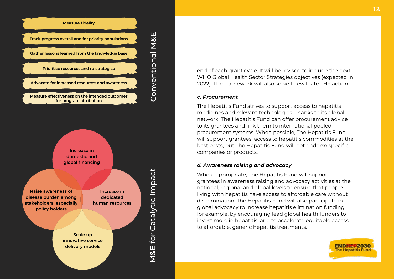

**Scale up innovative service delivery models**

**Raise awareness of disease burden among stakeholders, especially policy holders**

**Increase in dedicated human resources** M&E for Catalytic Impact

Conventional M&E

end of each grant cycle. It will be revised to include the next WHO Global Health Sector Strategies objectives (expected in 2022). The framework will also serve to evaluate THF action.

#### *c. Procurement*

The Hepatitis Fund strives to support access to hepatitis medicines and relevant technologies. Thanks to its global network, The Hepatitis Fund can offer procurement advice to its grantees and link them to international pooled procurement systems. When possible, The Hepatitis Fund will support grantees' access to hepatitis commodities at the best costs, but The Hepatitis Fund will not endorse specific companies or products.

#### *d. Awareness raising and advocacy*

Where appropriate, The Hepatitis Fund will support grantees in awareness raising and advocacy activities at the national, regional and global levels to ensure that people living with hepatitis have access to affordable care without discrimination. The Hepatitis Fund will also participate in global advocacy to increase hepatitis elimination funding, for example, by encouraging lead global health funders to invest more in hepatitis, and to accelerate equitable access to affordable, generic hepatitis treatments.

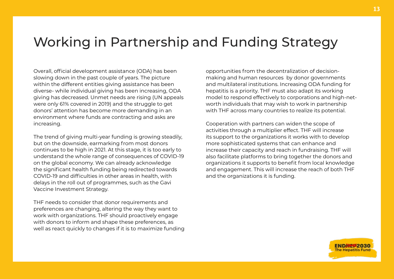### <span id="page-12-0"></span>Working in Partnership and Funding Strategy

Overall, official development assistance (ODA) has been slowing down in the past couple of years. The picture within the different entities giving assistance has been diverse- while individual giving has been increasing, ODA giving has decreased. Unmet needs are rising (UN appeals were only 61% covered in 2019) and the struggle to get donors' attention has become more demanding in an environment where funds are contracting and asks are increasing.

The trend of giving multi-year funding is growing steadily, but on the downside, earmarking from most donors continues to be high in 2021. At this stage, it is too early to understand the whole range of consequences of COVID-19 on the global economy. We can already acknowledge the significant health funding being redirected towards COVID-19 and difficulties in other areas in health, with delays in the roll out of programmes, such as the Gavi Vaccine Investment Strategy.

THF needs to consider that donor requirements and preferences are changing, altering the way they want to work with organizations. THF should proactively engage with donors to inform and shape these preferences, as well as react quickly to changes if it is to maximize funding opportunities from the decentralization of decisionmaking and human resources by donor governments and multilateral institutions. Increasing ODA funding for hepatitis is a priority. THF must also adapt its working model to respond effectively to corporations and high-networth individuals that may wish to work in partnership with THF across many countries to realize its potential.

Cooperation with partners can widen the scope of activities through a multiplier effect. THF will increase its support to the organizations it works with to develop more sophisticated systems that can enhance and increase their capacity and reach in fundraising. THF will also facilitate platforms to bring together the donors and organizations it supports to benefit from local knowledge and engagement. This will increase the reach of both THF and the organizations it is funding.

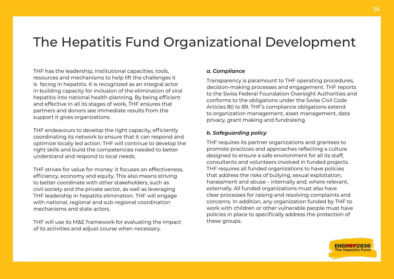## <span id="page-13-0"></span>The Hepatitis Fund Organizational Development

THF has the leadership, institutional capacities, tools, resources and mechanisms to help lift the challenges it is facing in hepatitis. It is recognized as an integral actor in building capacity for inclusion of the elimination of viral hepatitis into national health planning. By being efficient and effective in all its stages of work, THF ensures that partners and donors see immediate results from the support it gives organizations.

THF endeavours to develop the right capacity, efficiently coordinating its network to ensure that it can respond and optimize locally led action. THF will continue to develop the right skills and build the competencies needed to better understand and respond to local needs.

THF strives for value for money: it focuses on effectiveness, efficiency, economy and equity. This also means striving to better coordinate with other stakeholders, such as civil society and the private sector, as well as leveraging THF leadership in hepatitis elimination. THF will engage with national, regional and sub-regional coordination mechanisms and state actors.

THF will use its M&E framework for evaluating the impact of its activities and adjust course when necessary.

#### *a. Compliance*

Transparency is paramount to THF operating procedures, decision-making processes and engagement. THF reports to the Swiss Federal Foundation Oversight Authorities and conforms to the obligations under the Swiss Civil Code Articles 80 to 89. THF's compliance obligations extend to organization management, asset management, data privacy, grant making and fundraising.

#### *b. Safeguarding policy*

THF requires its partner organizations and grantees to promote practices and approaches reflecting a culture designed to ensure a safe environment for all its staff, consultants and volunteers involved in funded projects. THF requires all funded organizations to have policies that address the risks of bullying, sexual exploitation, harassment and abuse – internally and, where relevant, externally. All funded organizations must also have clear processes for raising and resolving complaints and concerns. In addition, any organization funded by THF to work with children or other vulnerable people must have policies in place to specifically address the protection of these groups.

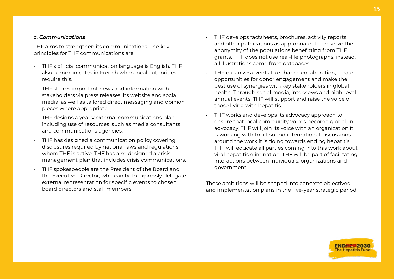#### *c. Communications*

THF aims to strengthen its communications. The key principles for THF communications are:

- THF's official communication language is English. THF also communicates in French when local authorities require this.
- THF shares important news and information with stakeholders via press releases, its website and social media, as well as tailored direct messaging and opinion pieces where appropriate.
- THF designs a yearly external communications plan, including use of resources, such as media consultants and communications agencies.
- THF has designed a communication policy covering disclosures required by national laws and regulations where THF is active. THF has also designed a crisis management plan that includes crisis communications.
- THF spokespeople are the President of the Board and the Executive Director, who can both expressly delegate external representation for specific events to chosen board directors and staff members.
- THF develops factsheets, brochures, activity reports and other publications as appropriate. To preserve the anonymity of the populations benefitting from THF grants, THF does not use real-life photographs; instead, all illustrations come from databases.
- THF organizes events to enhance collaboration, create opportunities for donor engagement and make the best use of synergies with key stakeholders in global health. Through social media, interviews and high-level annual events, THF will support and raise the voice of those living with hepatitis.
- THF works and develops its advocacy approach to ensure that local community voices become global. In advocacy, THF will join its voice with an organization it is working with to lift sound international discussions around the work it is doing towards ending hepatitis. THF will educate all parties coming into this work about viral hepatitis elimination. THF will be part of facilitating interactions between individuals, organizations and government.

These ambitions will be shaped into concrete objectives and implementation plans in the five-year strategic period.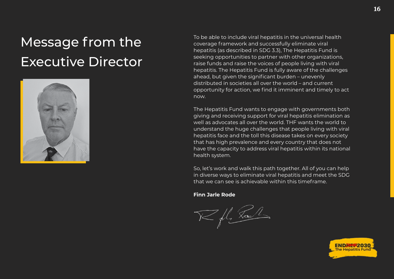## <span id="page-15-0"></span>Message from the Executive Director



To be able to include viral hepatitis in the universal health coverage framework and successfully eliminate viral hepatitis (as described in SDG 3.3), The Hepatitis Fund is seeking opportunities to partner with other organizations, raise funds and raise the voices of people living with viral hepatitis. The Hepatitis Fund is fully aware of the challenges ahead, but given the significant burden – unevenly distributed in societies all over the world – and current opportunity for action, we find it imminent and timely to act now.

The Hepatitis Fund wants to engage with governments both giving and receiving support for viral hepatitis elimination as well as advocates all over the world. THF wants the world to understand the huge challenges that people living with viral hepatitis face and the toll this disease takes on every society that has high prevalence and every country that does not have the capacity to address viral hepatitis within its national health system.

So, let's work and walk this path together. All of you can help in diverse ways to eliminate viral hepatitis and meet the SDG that we can see is achievable within this timeframe.

**Finn Jarle Rode**

V fl. La